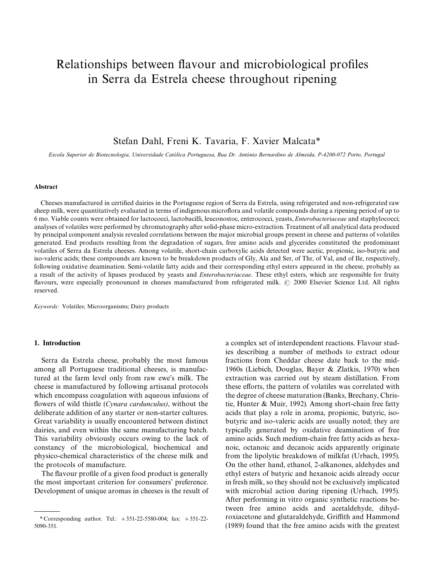# Relationships between flavour and microbiological profiles in Serra da Estrela cheese throughout ripening

# Stefan Dahl, Freni K. Tavaria, F. Xavier Malcata*\**

Escola Superior de Biotecnologia, Universidade Católica Portuguesa, Rua Dr. António Bernardino de Almeida, P-4200-072 Porto, Portugal

#### Abstract

Cheeses manufactured in certified dairies in the Portuguese region of Serra da Estrela, using refrigerated and non-refrigerated raw sheep milk, were quantitatively evaluated in terms of indigenous microflora and volatile compounds during a ripening period of up to 6 mo. Viable counts were obtained for lactococci, lactobacilli, leuconostoc, enterococci, yeasts, *Enterobacteriaceae* and staphylococci; analyses of volatiles were performed by chromatography after solid-phase micro-extraction. Treatment of all analytical data produced by principal component analysis revealed correlations between the major microbial groups present in cheese and patterns of volatiles generated. End products resulting from the degradation of sugars, free amino acids and glycerides constituted the predominant volatiles of Serra da Estrela cheeses. Among volatile, short-chain carboxylic acids detected were acetic, propionic, iso-butyric and iso-valeric acids; these compounds are known to be breakdown products of Gly, Ala and Ser, of Thr, of Val, and of Ile, respectively, following oxidative deamination. Semi-volatile fatty acids and their corresponding ethyl esters appeared in the cheese, probably as a result of the activity of lipases produced by yeasts and *Enterobacteriaceae*. These ethyl esters, which are responsible for fruity flavours, were especially pronounced in cheeses manufactured from refrigerated milk. © 2000 Elsevier Science Ltd. All rights reserved.

*Keywords:* Volatiles; Microorganisms; Dairy products

## 1. Introduction

Serra da Estrela cheese, probably the most famous among all Portuguese traditional cheeses, is manufactured at the farm level only from raw ewe's milk. The cheese is manufactured by following artisanal protocols which encompass coagulation with aqueous infusions of flowers of wild thistle (*Cynara cardunculus*), without the deliberate addition of any starter or non-starter cultures. Great variability is usually encountered between distinct dairies, and even within the same manufacturing batch. This variability obviously occurs owing to the lack of constancy of the microbiological, biochemical and physico-chemical characteristics of the cheese milk and the protocols of manufacture.

The flavour profile of a given food product is generally the most important criterion for consumers' preference. Development of unique aromas in cheeses is the result of a complex set of interdependent reactions. Flavour studies describing a number of methods to extract odour fractions from Cheddar cheese date back to the mid-1960s (Liebich, Douglas, Bayer & Zlatkis, 1970) when extraction was carried out by steam distillation. From these efforts, the pattern of volatiles was correlated with the degree of cheese maturation (Banks, Brechany, Christie, Hunter & Muir, 1992). Among short-chain free fatty acids that play a role in aroma, propionic, butyric, isobutyric and iso-valeric acids are usually noted; they are typically generated by oxidative deamination of free amino acids. Such medium-chain free fatty acids as hexanoic, octanoic and decanoic acids apparently originate from the lipolytic breakdown of milkfat (Urbach, 1995). On the other hand, ethanol, 2-alkanones, aldehydes and ethyl esters of butyric and hexanoic acids already occur in fresh milk, so they should not be exclusively implicated with microbial action during ripening (Urbach, 1995). After performing in vitro organic synthetic reactions between free amino acids and acetaldehyde, dihydroxiacetone and glutaraldehyde, Griffith and Hammond (1989) found that the free amino acids with the greatest

*<sup>\*</sup>* Corresponding author. Tel.: #351-22-5580-004; fax: #351-22- 5090-351.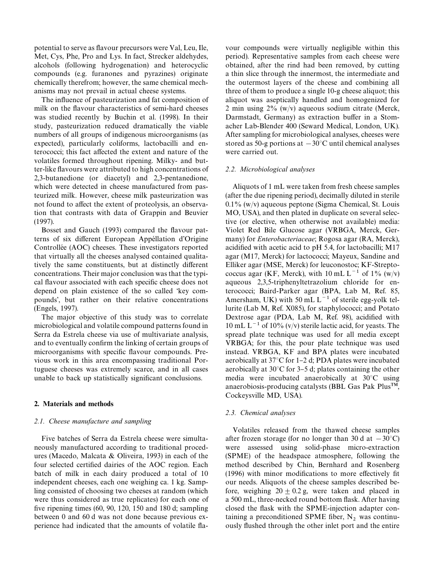potential to serve as flavour precursors were Val, Leu, Ile, Met, Cys, Phe, Pro and Lys. In fact, Strecker aldehydes, alcohols (following hydrogenation) and heterocyclic compounds (e.g. furanones and pyrazines) originate chemically therefrom; however, the same chemical mechanisms may not prevail in actual cheese systems.

The influence of pasteurization and fat composition of milk on the flavour characteristics of semi-hard cheeses was studied recently by Buchin et al. (1998). In their study, pasteurization reduced dramatically the viable numbers of all groups of indigenous microorganisms (as expected), particularly coliforms, lactobacilli and enterococci; this fact affected the extent and nature of the volatiles formed throughout ripening. Milky- and butter-like #avours were attributed to high concentrations of 2,3-butanedione (or diacetyl) and 2,3-pentanedione, which were detected in cheese manufactured from pasteurized milk. However, cheese milk pasteurization was not found to affect the extent of proteolysis, an observation that contrasts with data of Grappin and Beuvier (1997).

Bosset and Gauch (1993) compared the flavour patterns of six different European Appéllation d'Origine Controllée (AOC) cheeses. These investigators reported that virtually all the cheeses analysed contained qualitatively the same constituents, but at distinctly different concentrations. Their major conclusion was that the typical flavour associated with each specific cheese does not depend on plain existence of the so called 'key compounds', but rather on their relative concentrations (Engels, 1997).

The major objective of this study was to correlate microbiological and volatile compound patterns found in Serra da Estrela cheese via use of multivariate analysis, and to eventually confirm the linking of certain groups of microorganisms with specific flavour compounds. Previous work in this area encompassing traditional Portuguese cheeses was extremely scarce, and in all cases unable to back up statistically significant conclusions.

# 2. Materials and methods

# *2.1. Cheese manufacture and sampling*

Five batches of Serra da Estrela cheese were simultaneously manufactured according to traditional procedures (Macedo, Malcata & Oliveira, 1993) in each of the four selected certified dairies of the AOC region. Each batch of milk in each dairy produced a total of 10 independent cheeses, each one weighing ca. 1 kg. Sampling consisted of choosing two cheeses at random (which were thus considered as true replicates) for each one of five ripening times  $(60, 90, 120, 150, 180, 180, 180)$  d; sampling between 0 and 60 d was not done because previous experience had indicated that the amounts of volatile fla-

vour compounds were virtually negligible within this period). Representative samples from each cheese were obtained, after the rind had been removed, by cutting a thin slice through the innermost, the intermediate and the outermost layers of the cheese and combining all three of them to produce a single 10-g cheese aliquot; this aliquot was aseptically handled and homogenized for 2 min using 2% (w/v) aqueous sodium citrate (Merck, Darmstadt, Germany) as extraction buffer in a Stomacher Lab-Blender 400 (Seward Medical, London, UK). After sampling for microbiological analyses, cheeses were stored as 50-g portions at  $-30^{\circ}$ C until chemical analyses were carried out.

# *2.2. Microbiological analyses*

Aliquots of 1 mL were taken from fresh cheese samples (after the due ripening period), decimally diluted in sterile 0.1% (w/v) aqueous peptone (Sigma Chemical, St. Louis MO, USA), and then plated in duplicate on several selective (or elective, when otherwise not available) media: Violet Red Bile Glucose agar (VRBGA, Merck, Germany) for *Enterobacteriaceae*; Rogosa agar (RA, Merck), acidified with acetic acid to pH 5.4, for lactobacilli; M17 agar (M17, Merck) for lactococci; Mayeux, Sandine and Elliker agar (MSE, Merck) for leuconostoc; KF-Streptococcus agar (KF, Merck), with 10 mL  $L^{-1}$  of 1% (w/v) aqueous 2,3,5-triphenyltetrazolium chloride for enterococci; Baird-Parker agar (BPA, Lab M, Ref. 85, Amersham, UK) with 50 mL  $L^{-1}$  of sterile egg-yolk tellurite (Lab M, Ref. X085), for staphylococci; and Potato Dextrose agar (PDA, Lab M, Ref. 98), acidified with 10 mL  $L^{-1}$  of 10% (v/v) sterile lactic acid, for yeasts. The spread plate technique was used for all media except VRBGA; for this, the pour plate technique was used instead. VRBGA, KF and BPA plates were incubated aerobically at  $37^{\circ}$ C for 1–2 d; PDA plates were incubated aerobically at  $30^{\circ}$ C for 3–5 d; plates containing the other media were incubated anaerobically at  $30^{\circ}$ C using anaerobiosis-producing catalysts (BBL Gas Pak PlusTM, Cockeysville MD, USA).

# *2.3. Chemical analyses*

Volatiles released from the thawed cheese samples after frozen storage (for no longer than 30 d at  $-30^{\circ}$ C) were assessed using solid-phase micro-extraction (SPME) of the headspace atmosphere, following the method described by Chin, Bernhard and Rosenberg  $(1996)$  with minor modifications to more effectively fit our needs. Aliquots of the cheese samples described before, weighing  $20 \pm 0.2$  g, were taken and placed in a 500 mL, three-necked round bottom flask. After having closed the flask with the SPME-injection adapter containing a preconditioned SPME fiber,  $N_2$  was continuously flushed through the other inlet port and the entire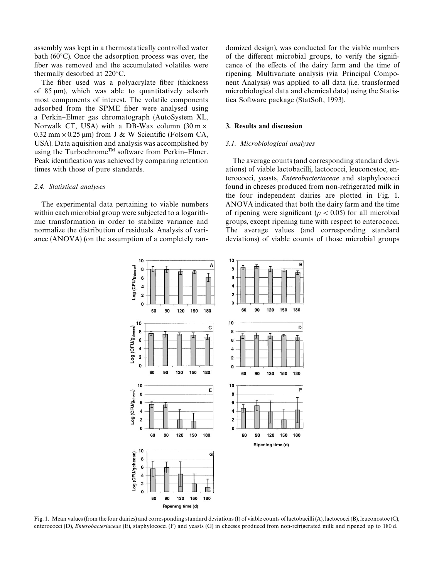assembly was kept in a thermostatically controlled water bath ( $60^{\circ}$ C). Once the adsorption process was over, the fiber was removed and the accumulated volatiles were thermally desorbed at  $220^{\circ}$ C.

The fiber used was a polyacrylate fiber (thickness of  $85 \text{ µm}$ ), which was able to quantitatively adsorb most components of interest. The volatile components adsorbed from the SPME fiber were analysed using a Perkin-Elmer gas chromatograph (AutoSystem XL, Norwalk CT, USA) with a DB-Wax column  $(30 \text{ m} \times$  $0.32$  mm  $\times$  0.25 µm) from J & W Scientific (Folsom CA, USA). Data aquisition and analysis was accomplished by using the Turbochrome<sup>TM</sup> software from Perkin–Elmer. Peak identification was achieved by comparing retention times with those of pure standards.

## *2.4. Statistical analyses*

The experimental data pertaining to viable numbers within each microbial group were subjected to a logarithmic transformation in order to stabilize variance and normalize the distribution of residuals. Analysis of variance (ANOVA) (on the assumption of a completely randomized design), was conducted for the viable numbers of the different microbial groups, to verify the significance of the effects of the dairy farm and the time of ripening. Multivariate analysis (via Principal Component Analysis) was applied to all data (i.e. transformed microbiological data and chemical data) using the Statistica Software package (StatSoft, 1993).

# 3. Results and discussion

## *3.1. Microbiological analyses*

The average counts (and corresponding standard deviations) of viable lactobacilli, lactococci, leuconostoc, enterococci, yeasts, *Enterobacteriaceae* and staphylococci found in cheeses produced from non-refrigerated milk in the four independent dairies are plotted in Fig. 1. ANOVA indicated that both the dairy farm and the time of ripening were significant ( $p < 0.05$ ) for all microbial groups, except ripening time with respect to enterococci. The average values (and corresponding standard deviations) of viable counts of those microbial groups



Fig. 1. Mean values (from the four dairies) and corresponding standard deviations (I) of viable counts of lactobacilli (A), lactococci (B), leuconostoc (C), enterococci (D), *Enterobacteriaceae* (E), staphylococci (F) and yeasts (G) in cheeses produced from non-refrigerated milk and ripened up to 180 d.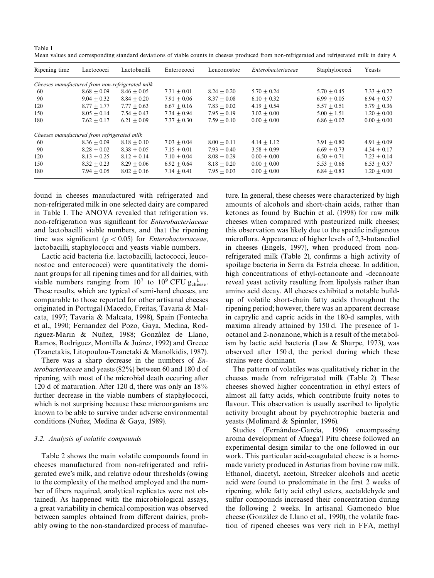| Table 1                                                                                                                                       |  |
|-----------------------------------------------------------------------------------------------------------------------------------------------|--|
| Mean values and corresponding standard deviations of viable counts in cheeses produced from non-refrigerated and refrigerated milk in dairy A |  |

| Ripening time                               | Lactococci                                      | Lactobacilli  | Enterococci   | Leuconostoc   | Enterobacteriaceae | Staphylococci | Yeasts        |
|---------------------------------------------|-------------------------------------------------|---------------|---------------|---------------|--------------------|---------------|---------------|
|                                             | Cheeses manufactured from non-refrigerated milk |               |               |               |                    |               |               |
| 60                                          | $8.68 + 0.09$                                   | $8.46 + 0.05$ | $7.31 + 0.01$ | $8.24 + 0.20$ | $5.70 + 0.24$      | $5.70 + 0.45$ | $7.33 + 0.22$ |
| 90                                          | $9.04 + 0.32$                                   | $8.84 + 0.20$ | $7.91 + 0.06$ | $8.37 + 0.08$ | $6.10 + 0.32$      | $6.99 + 0.05$ | $6.94 + 0.57$ |
| 120                                         | $8.77 + 1.77$                                   | $7.77 + 0.63$ | $6.67 + 0.16$ | $7.83 + 0.02$ | $4.19 + 0.54$      | $5.57 + 0.51$ | $5.79 + 0.36$ |
| 150                                         | $8.05 + 0.14$                                   | $7.54 + 0.43$ | $7.34 + 0.94$ | $7.95 + 0.19$ | $3.02 + 0.00$      | $5.00 + 1.51$ | $1.20 + 0.00$ |
| 180                                         | $7.62 + 0.17$                                   | $6.21 + 0.09$ | $7.37 + 0.30$ | $7.59 + 0.10$ | $0.00 + 0.00$      | $6.86 + 0.02$ | $0.00 + 0.00$ |
| Cheeses manufactured from refrigerated milk |                                                 |               |               |               |                    |               |               |
| 60                                          | $8.36 + 0.09$                                   | $8.18 + 0.10$ | $7.03 + 0.04$ | $8.00 + 0.11$ | $4.14 + 1.12$      | $3.91 + 0.80$ | $4.91 + 0.09$ |
| 90                                          | $8.28 + 0.02$                                   | $8.38 + 0.05$ | $7.15 + 0.01$ | $7.93 + 0.40$ | $3.58 + 0.99$      | $6.69 + 0.73$ | $4.34 + 0.17$ |
| 120                                         | $8.13 + 0.25$                                   | $8.12 + 0.14$ | $7.10 + 0.04$ | $8.08 + 0.29$ | $0.00 + 0.00$      | $6.50 + 0.71$ | $7.23 + 0.14$ |
| 150                                         | $8.32 + 0.23$                                   | $8.29 + 0.06$ | $6.92 + 0.64$ | $8.18 + 0.20$ | $0.00 + 0.00$      | $5.53 + 0.66$ | $6.53 + 0.57$ |
| 180                                         | $7.94 + 0.05$                                   | $8.02 + 0.16$ | $7.14 + 0.41$ | $7.95 + 0.03$ | $0.00 + 0.00$      | $6.84 + 0.83$ | $1.20 + 0.00$ |

found in cheeses manufactured with refrigerated and non-refrigerated milk in one selected dairy are compared in Table 1. The ANOVA revealed that refrigeration vs. non-refrigeration was significant for *Enterobacteriaceae* and lactobacilli viable numbers, and that the ripening time was significant ( $p < 0.05$ ) for *Enterobacteriaceae*, lactobacilli, staphylococci and yeasts viable numbers.

Lactic acid bacteria (i.e. lactobacilli, lactococci, leuconostoc and enterococci) were quantitatively the dominant groups for all ripening times and for all dairies, with viable numbers ranging from  $10^7$  to  $10^9$  CFU  $g_{\text{cheese}}^{-1}$ . These results, which are typical of semi-hard cheeses, are comparable to those reported for other artisanal cheeses originated in Portugal (Macedo, Freitas, Tavaria & Malcata, 1997; Tavaria & Malcata, 1998), Spain (Fontecha et al., 1990; Fernandez del Pozo, Gaya, Medina, Rodriguez-Marin & Nuñez, 1988; González de Llano, Ramos, Rodriguez, Montilla & Juárez, 1992) and Greece (Tzanetakis, Litopoulou-Tzanetaki & Manolkidis, 1987).

There was a sharp decrease in the numbers of *Enterobacteriaceae* and yeasts (82%) between 60 and 180 d of ripening, with most of the microbial death occuring after 120 d of maturation. After 120 d, there was only an 18% further decrease in the viable numbers of staphylococci, which is not surprising because these microorganisms are known to be able to survive under adverse environmental conditions (Nuñez, Medina & Gaya, 1989).

# *3.2. Analysis of volatile compounds*

Table 2 shows the main volatile compounds found in cheeses manufactured from non-refrigerated and refrigerated ewe's milk, and relative odour thresholds (owing to the complexity of the method employed and the number of fibers required, analytical replicates were not obtained). As happened with the microbiological assays, a great variability in chemical composition was observed between samples obtained from different dairies, probably owing to the non-standardized process of manufacture. In general, these cheeses were characterized by high amounts of alcohols and short-chain acids, rather than ketones as found by Buchin et al. (1998) for raw milk cheeses when compared with pasteurized milk cheeses; this observation was likely due to the specific indigenous microflora. Appearance of higher levels of 2,3-butanediol in cheeses (Engels, 1997), when produced from nonrefrigerated milk (Table 2), confirms a high activity of spoilage bacteria in Serra da Estrela cheese. In addition, high concentrations of ethyl-octanoate and -decanoate reveal yeast activity resulting from lipolysis rather than amino acid decay. All cheeses exhibited a notable buildup of volatile short-chain fatty acids throughout the ripening period; however, there was an apparent decrease in caprylic and capric acids in the 180-d samples, with maxima already attained by 150 d. The presence of 1 octanol and 2-nonanone, which is a result of the metabolism by lactic acid bacteria (Law & Sharpe, 1973), was observed after 150 d, the period during which these strains were dominant.

The pattern of volatiles was qualitatively richer in the cheeses made from refrigerated milk (Table 2). These cheeses showed higher concentration in ethyl esters of almost all fatty acids, which contribute fruity notes to flavour. This observation is usually ascribed to lipolytic activity brought about by psychrotrophic bacteria and yeasts (Molimard & Spinnler, 1996).

Studies (Fernández-García, 1996) encompassing aroma development of Afuega'l Pitu cheese followed an experimental design similar to the one followed in our work. This particular acid-coagulated cheese is a homemade variety produced in Asturias from bovine raw milk. Ethanol, diacetyl, acetoin, Strecker alcohols and acetic acid were found to predominate in the first 2 weeks of ripening, while fatty acid ethyl esters, acetaldehyde and sulfur compounds increased their concentration during the following 2 weeks. In artisanal Gamonedo blue cheese (González de Llano et al., 1990), the volatile fraction of ripened cheeses was very rich in FFA, methyl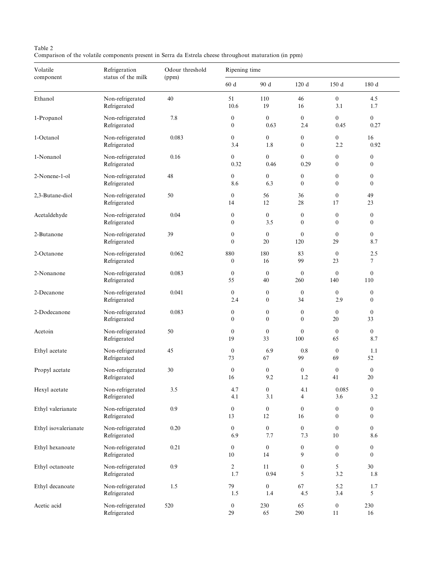# Table 2

Comparison of the volatile components present in Serra da Estrela cheese throughout maturation (in ppm)

| Volatile<br>component | Refrigeration<br>status of the milk | Odour threshold<br>(ppm) | Ripening time                        |                                  |                                      |                                    |                                      |  |
|-----------------------|-------------------------------------|--------------------------|--------------------------------------|----------------------------------|--------------------------------------|------------------------------------|--------------------------------------|--|
|                       |                                     |                          | 60 d                                 | 90 d                             | 120 d                                | 150 d                              | 180 d                                |  |
| Ethanol               | Non-refrigerated<br>Refrigerated    | $40\,$                   | 51<br>10.6                           | 110<br>19                        | 46<br>16                             | $\mathbf{0}$<br>3.1                | 4.5<br>1.7                           |  |
| 1-Propanol            | Non-refrigerated<br>Refrigerated    | 7.8                      | $\boldsymbol{0}$<br>$\boldsymbol{0}$ | $\mathbf{0}$<br>0.63             | $\overline{0}$<br>2.4                | $\overline{0}$<br>0.45             | $\overline{0}$<br>0.27               |  |
| 1-Octanol             | Non-refrigerated<br>Refrigerated    | 0.083                    | $\mathbf{0}$<br>3.4                  | $\overline{0}$<br>1.8            | $\boldsymbol{0}$<br>$\boldsymbol{0}$ | $\overline{0}$<br>2.2              | 16<br>0.92                           |  |
| 1-Nonanol             | Non-refrigerated<br>Refrigerated    | 0.16                     | $\overline{0}$<br>0.32               | $\overline{0}$<br>0.46           | $\overline{0}$<br>0.29               | $\mathbf{0}$<br>$\mathbf{0}$       | $\boldsymbol{0}$<br>$\overline{0}$   |  |
| 2-Nonene-1-ol         | Non-refrigerated<br>Refrigerated    | 48                       | $\boldsymbol{0}$<br>8.6              | $\boldsymbol{0}$<br>6.3          | $\boldsymbol{0}$<br>$\mathbf{0}$     | $\boldsymbol{0}$<br>$\mathbf{0}$   | $\boldsymbol{0}$<br>$\mathbf{0}$     |  |
| 2,3-Butane-diol       | Non-refrigerated<br>Refrigerated    | $50\,$                   | $\boldsymbol{0}$<br>14               | 56<br>12                         | 36<br>28                             | $\mathbf{0}$<br>17                 | 49<br>23                             |  |
| Acetaldehyde          | Non-refrigerated<br>Refrigerated    | 0.04                     | $\boldsymbol{0}$<br>$\mathbf{0}$     | $\boldsymbol{0}$<br>3.5          | $\boldsymbol{0}$<br>$\boldsymbol{0}$ | $\boldsymbol{0}$<br>$\mathbf{0}$   | $\boldsymbol{0}$<br>$\mathbf{0}$     |  |
| 2-Butanone            | Non-refrigerated<br>Refrigerated    | 39                       | $\boldsymbol{0}$<br>$\mathbf{0}$     | $\mathbf{0}$<br>20               | $\boldsymbol{0}$<br>120              | $\mathbf{0}$<br>29                 | $\overline{0}$<br>8.7                |  |
| 2-Octanone            | Non-refrigerated<br>Refrigerated    | 0.062                    | 880<br>$\boldsymbol{0}$              | 180<br>16                        | 83<br>99                             | $\boldsymbol{0}$<br>23             | 2.5<br>$\tau$                        |  |
| 2-Nonanone            | Non-refrigerated<br>Refrigerated    | 0.083                    | $\mathbf{0}$<br>55                   | $\boldsymbol{0}$<br>40           | $\boldsymbol{0}$<br>260              | $\boldsymbol{0}$<br>140            | $\boldsymbol{0}$<br>110              |  |
| 2-Decanone            | Non-refrigerated<br>Refrigerated    | 0.041                    | $\boldsymbol{0}$<br>2.4              | $\boldsymbol{0}$<br>$\mathbf{0}$ | $\boldsymbol{0}$<br>34               | $\overline{0}$<br>2.9              | $\boldsymbol{0}$<br>$\mathbf{0}$     |  |
| 2-Dodecanone          | Non-refrigerated<br>Refrigerated    | 0.083                    | $\boldsymbol{0}$<br>$\mathbf{0}$     | $\mathbf{0}$<br>$\mathbf{0}$     | $\boldsymbol{0}$<br>$\mathbf{0}$     | $\mathbf{0}$<br>20                 | $\boldsymbol{0}$<br>33               |  |
| Acetoin               | Non-refrigerated<br>Refrigerated    | 50                       | $\mathbf{0}$<br>19                   | $\mathbf{0}$<br>33               | $\boldsymbol{0}$<br>100              | $\mathbf{0}$<br>65                 | $\boldsymbol{0}$<br>8.7              |  |
| Ethyl acetate         | Non-refrigerated<br>Refrigerated    | 45                       | $\boldsymbol{0}$<br>73               | 6.9<br>67                        | $0.8\,$<br>99                        | $\mathbf{0}$<br>69                 | 1.1<br>52                            |  |
| Propyl acetate        | Non-refrigerated<br>Refrigerated    | 30                       | $\mathbf{0}$<br>16                   | $\boldsymbol{0}$<br>9.2          | $\overline{0}$<br>1.2                | $\boldsymbol{0}$<br>41             | $\boldsymbol{0}$<br>20               |  |
| Hexyl acetate         | Non-refrigerated<br>Refrigerated    | 3.5                      | 4.7<br>4.1                           | $\boldsymbol{0}$<br>3.1          | 4.1<br>4                             | $0.085\,$<br>3.6                   | $\boldsymbol{0}$<br>3.2              |  |
| Ethyl valerianate     | Non-refrigerated<br>Refrigerated    | $0.9\,$                  | $\boldsymbol{0}$<br>13               | $\boldsymbol{0}$<br>12           | $\boldsymbol{0}$<br>16               | $\boldsymbol{0}$<br>$\mathbf{0}$   | $\boldsymbol{0}$<br>$\boldsymbol{0}$ |  |
| Ethyl isovalerianate  | Non-refrigerated<br>Refrigerated    | 0.20                     | $\overline{0}$<br>6.9                | $\mathbf{0}$<br>$7.7\,$          | $\overline{0}$<br>7.3                | $\mathbf{0}$<br>$10\,$             | $\overline{0}$<br>8.6                |  |
| Ethyl hexanoate       | Non-refrigerated<br>Refrigerated    | 0.21                     | $\boldsymbol{0}$<br>$10\,$           | $\mathbf{0}$<br>14               | $\boldsymbol{0}$<br>9                | $\boldsymbol{0}$<br>$\overline{0}$ | $\boldsymbol{0}$<br>$\overline{0}$   |  |
| Ethyl octanoate       | Non-refrigerated<br>Refrigerated    | 0.9                      | $\overline{2}$<br>1.7                | 11<br>0.94                       | $\boldsymbol{0}$<br>5                | $5\overline{)}$<br>$3.2\,$         | 30<br>1.8                            |  |
| Ethyl decanoate       | Non-refrigerated<br>Refrigerated    | 1.5                      | 79<br>$1.5\,$                        | $\boldsymbol{0}$<br>$1.4\,$      | 67<br>4.5                            | 5.2<br>3.4                         | 1.7<br>5                             |  |
| Acetic acid           | Non-refrigerated<br>Refrigerated    | 520                      | $\boldsymbol{0}$<br>29               | 230<br>65                        | 65<br>290                            | $\boldsymbol{0}$<br>11             | 230<br>16                            |  |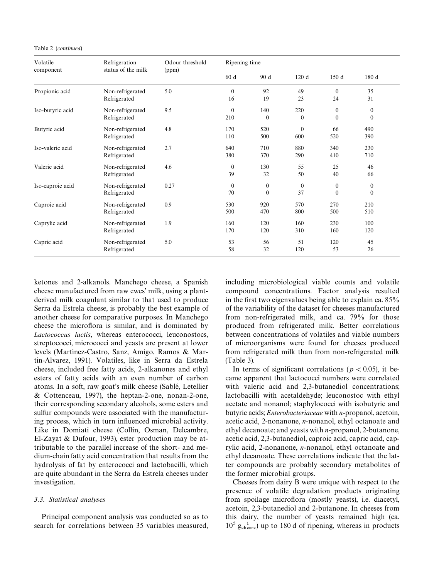Table 2 (*continued*)

| Volatile<br>component | Refrigeration<br>status of the milk | Odour threshold<br>(ppm) | Ripening time          |                          |                    |                          |                          |
|-----------------------|-------------------------------------|--------------------------|------------------------|--------------------------|--------------------|--------------------------|--------------------------|
|                       |                                     |                          | 60 d                   | 90 d                     | 120d               | 150 d                    | 180 d                    |
| Propionic acid        | Non-refrigerated<br>Refrigerated    | 5.0                      | $\Omega$<br>16         | 92<br>19                 | 49<br>23           | $\Omega$<br>24           | 35<br>31                 |
| Iso-butyric acid      | Non-refrigerated<br>Refrigerated    | 9.5                      | $\mathbf{0}$<br>210    | 140<br>$\Omega$          | 220<br>$\theta$    | $\theta$<br>$\mathbf{0}$ | $\mathbf{0}$<br>$\Omega$ |
| Butyric acid          | Non-refrigerated<br>Refrigerated    | 4.8                      | 170<br>110             | 520<br>500               | $\theta$<br>600    | 66<br>520                | 490<br>390               |
| Iso-valeric acid      | Non-refrigerated<br>Refrigerated    | 2.7                      | 640<br>380             | 710<br>370               | 880<br>290         | 340<br>410               | 230<br>710               |
| Valeric acid          | Non-refrigerated<br>Refrigerated    | 4.6                      | $\mathbf{0}$<br>39     | 130<br>32                | 55<br>50           | 25<br>40                 | 46<br>66                 |
| Iso-caproic acid      | Non-refrigerated<br>Refrigerated    | 0.27                     | $\boldsymbol{0}$<br>70 | $\mathbf{0}$<br>$\theta$ | $\mathbf{0}$<br>37 | $\mathbf{0}$<br>$\Omega$ | $\mathbf{0}$<br>$\Omega$ |
| Caproic acid          | Non-refrigerated<br>Refrigerated    | 0.9                      | 530<br>500             | 920<br>470               | 570<br>800         | 270<br>500               | 210<br>510               |
| Caprylic acid         | Non-refrigerated<br>Refrigerated    | 1.9                      | 160<br>170             | 120<br>120               | 160<br>310         | 230<br>160               | 100<br>120               |
| Capric acid           | Non-refrigerated<br>Refrigerated    | 5.0                      | 53<br>58               | 56<br>32                 | 51<br>120          | 120<br>53                | 45<br>26                 |

ketones and 2-alkanols. Manchego cheese, a Spanish cheese manufactured from raw ewes' milk, using a plantderived milk coagulant similar to that used to produce Serra da Estrela cheese, is probably the best example of another cheese for comparative purposes. In Manchego cheese the microflora is similar, and is dominated by *Lactococcus lactis*, whereas enterococci, leuconostocs, streptococci, micrococci and yeasts are present at lower levels (Martínez-Castro, Sanz, Amigo, Ramos & Martin-Alvarez, 1991). Volatiles, like in Serra da Estrela cheese, included free fatty acids, 2-alkanones and ethyl esters of fatty acids with an even number of carbon atoms. In a soft, raw goat's milk cheese (Sablé, Letellier & Cottenceau, 1997), the heptan-2-one, nonan-2-one, their corresponding secondary alcohols, some esters and sulfur compounds were associated with the manufacturing process, which in turn influenced microbial activity. Like in Domiati cheese (Collin, Osman, Delcambre, El-Zayat & Dufour, 1993), ester production may be attributable to the parallel increase of the short- and medium-chain fatty acid concentration that results from the hydrolysis of fat by enterococci and lactobacilli, which are quite abundant in the Serra da Estrela cheeses under investigation.

# *3.3. Statistical analyses*

Principal component analysis was conducted so as to search for correlations between 35 variables measured, including microbiological viable counts and volatile compound concentrations. Factor analysis resulted in the first two eigenvalues being able to explain ca.  $85\%$ of the variability of the dataset for cheeses manufactured from non-refrigerated milk, and ca. 79% for those produced from refrigerated milk. Better correlations between concentrations of volatiles and viable numbers of microorganisms were found for cheeses produced from refrigerated milk than from non-refrigerated milk (Table 3).

In terms of significant correlations ( $p < 0.05$ ), it became apparent that lactococci numbers were correlated with valeric acid and 2,3-butanediol concentrations; lactobacilli with acetaldehyde; leuconostoc with ethyl acetate and nonanol; staphylococci with isobutyric and butyric acids; *Enterobacteriaceae* with *n*-propanol, acetoin, acetic acid, 2-nonanone, *n*-nonanol, ethyl octanoate and ethyl decanoate; and yeasts with *n*-propanol, 2-butanone, acetic acid, 2,3-butanediol, caproic acid, capric acid, caprylic acid, 2-nonanone, *n*-nonanol, ethyl octanoate and ethyl decanoate. These correlations indicate that the latter compounds are probably secondary metabolites of the former microbial groups.

Cheeses from dairy B were unique with respect to the presence of volatile degradation products originating from spoilage microflora (mostly yeasts), i.e. diacetyl, acetoin, 2,3-butanediol and 2-butanone. In cheeses from this dairy, the number of yeasts remained high (ca.  $10^5$   $g_{\text{cheese}}^{-1}$  up to 180 d of ripening, whereas in products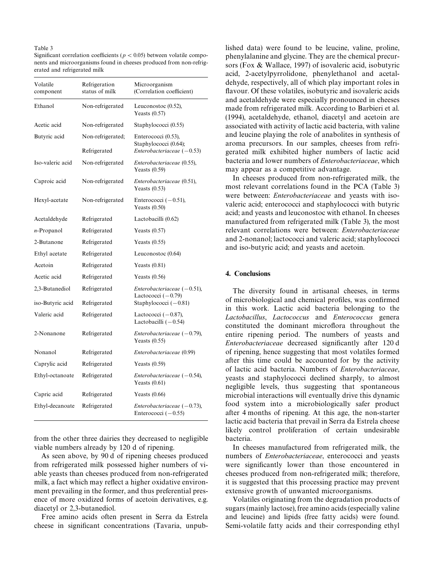#### Table 3

Significant correlation coefficients ( $p < 0.05$ ) between volatile components and microorganisms found in cheeses produced from non-refrigerated and refrigerated milk

| Volatile<br>component | Refrigeration<br>status of milk   | Microorganism<br>(Correlation coefficient)                                   |
|-----------------------|-----------------------------------|------------------------------------------------------------------------------|
| Ethanol               | Non-refrigerated                  | Leuconostoc (0.52),<br>Yeasts $(0.57)$                                       |
| Acetic acid           | Non-refrigerated                  | Staphylococci (0.55)                                                         |
| Butyric acid          | Non-refrigerated;<br>Refrigerated | Enterococci (0.53),<br>Staphylococci (0.64);<br>Enterobacteriaceae $(-0.53)$ |
| Iso-valeric acid      | Non-refrigerated                  | Enterobacteriaceae (0.55),<br>Yeasts $(0.59)$                                |
| Caproic acid          | Non-refrigerated                  | Enterobacteriaceae (0.51),<br>Yeasts $(0.53)$                                |
| Hexyl-acetate         | Non-refrigerated                  | Enterococci $(-0.51)$ ,<br>Yeasts $(0.50)$                                   |
| Acetaldehyde          | Refrigerated                      | Lactobacilli (0.62)                                                          |
| <i>n</i> -Propanol    | Refrigerated                      | Yeasts $(0.57)$                                                              |
| 2-Butanone            | Refrigerated                      | Yeasts $(0.55)$                                                              |
| Ethyl acetate         | Refrigerated                      | Leuconostoc $(0.64)$                                                         |
| Acetoin               | Refrigerated                      | Yeasts $(0.81)$                                                              |
| Acetic acid           | Refrigerated                      | Yeasts $(0.56)$                                                              |
| 2,3-Butanediol        | Refrigerated                      | Enterobacteriaceae $(-0.51)$ ,<br>Lactococci $(-0.79)$                       |
| iso-Butyric acid      | Refrigerated                      | Staphylococci $(-0.81)$                                                      |
| Valeric acid          | Refrigerated                      | Lactococci $(-0.87)$ ,<br>Lactobacilli $(-0.54)$                             |
| 2-Nonanone            | Refrigerated                      | Enterobacteriaceae $(-0.79)$ ,<br>Yeasts $(0.55)$                            |
| Nonanol               | Refrigerated                      | Enterobacteriaceae (0.99)                                                    |
| Caprylic acid         | Refrigerated                      | Yeasts $(0.59)$                                                              |
| Ethyl-octanoate       | Refrigerated                      | $Enterobacteriaceae (-0.54),$<br>Yeasts $(0.61)$                             |
| Capric acid           | Refrigerated                      | Yeasts $(0.66)$                                                              |
| Ethyl-decanoate       | Refrigerated                      | Enterobacteriaceae $(-0.73)$ ,<br>Enterococci $(-0.55)$                      |

from the other three dairies they decreased to negligible viable numbers already by 120 d of ripening.

As seen above, by 90 d of ripening cheeses produced from refrigerated milk possessed higher numbers of viable yeasts than cheeses produced from non-refrigerated milk, a fact which may reflect a higher oxidative environment prevailing in the former, and thus preferential presence of more oxidized forms of acetoin derivatives, e.g. diacetyl or 2,3-butanediol.

Free amino acids often present in Serra da Estrela cheese in significant concentrations (Tavaria, unpublished data) were found to be leucine, valine, proline, phenylalanine and glycine. They are the chemical precursors (Fox & Wallace, 1997) of isovaleric acid, isobutyric acid, 2-acetylpyrrolidone, phenylethanol and acetaldehyde, respectively, all of which play important roles in flavour. Of these volatiles, isobutyric and isovaleric acids and acetaldehyde were especially pronounced in cheeses made from refrigerated milk. According to Barbieri et al. (1994), acetaldehyde, ethanol, diacetyl and acetoin are associated with activity of lactic acid bacteria, with valine and leucine playing the role of anabolites in synthesis of aroma precursors. In our samples, cheeses from refrigerated milk exhibited higher numbers of lactic acid bacteria and lower numbers of *Enterobacteriaceae*, which may appear as a competitive advantage.

In cheeses produced from non-refrigerated milk, the most relevant correlations found in the PCA (Table 3) were between: *Enterobacteriaceae* and yeasts with isovaleric acid; enterococci and staphylococci with butyric acid; and yeasts and leuconostoc with ethanol. In cheeses manufactured from refrigerated milk (Table 3), the most relevant correlations were between: *Enterobacteriaceae* and 2-nonanol; lactococci and valeric acid; staphylococci and iso-butyric acid; and yeasts and acetoin.

## 4. Conclusions

The diversity found in artisanal cheeses, in terms of microbiological and chemical profiles, was confirmed in this work. Lactic acid bacteria belonging to the *Lactobacillus*, *Lactococcus* and *Enterococcus* genera constituted the dominant microflora throughout the entire ripening period. The numbers of yeasts and *Enterobacteriaceae* decreased significantly after 120 d of ripening, hence suggesting that most volatiles formed after this time could be accounted for by the activity of lactic acid bacteria. Numbers of *Enterobacteriaceae*, yeasts and staphylococci declined sharply, to almost negligible levels, thus suggesting that spontaneous microbial interactions will eventually drive this dynamic food system into a microbiologically safer product after 4 months of ripening. At this age, the non-starter lactic acid bacteria that prevail in Serra da Estrela cheese likely control proliferation of certain undesirable bacteria.

In cheeses manufactured from refrigerated milk, the numbers of *Enterobacteriaceae*, enterococci and yeasts were significantly lower than those encountered in cheeses produced from non-refrigerated milk; therefore, it is suggested that this processing practice may prevent extensive growth of unwanted microorganisms.

Volatiles originating from the degradation products of sugars (mainly lactose), free amino acids (especially valine and leucine) and lipids (free fatty acids) were found. Semi-volatile fatty acids and their corresponding ethyl